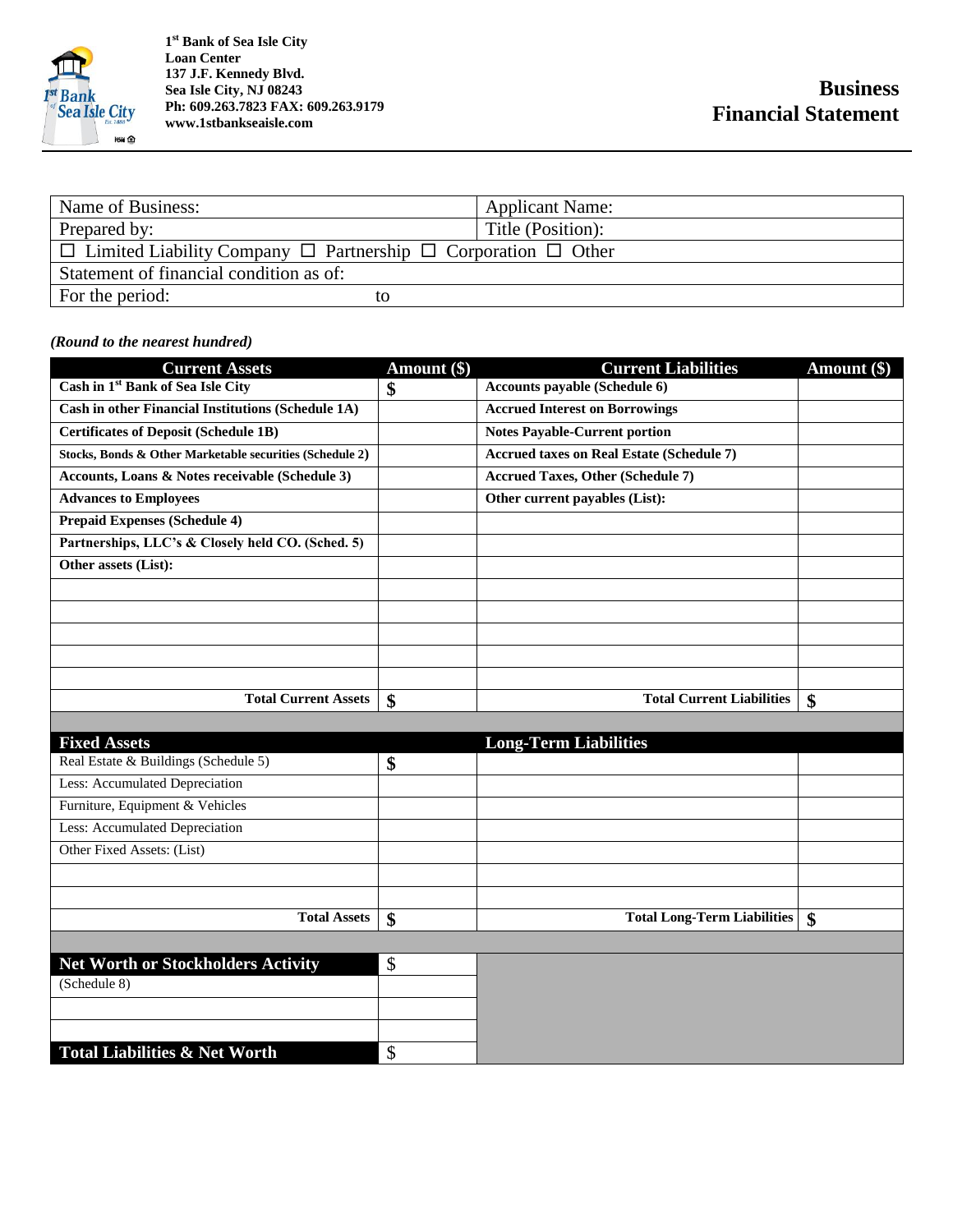

**1 st Bank of Sea Isle City Loan Center 137 J.F. Kennedy Blvd. Sea Isle City, NJ 08243 Ph: 609.263.7823 FAX: 609.263.9179 www.1stbankseaisle.com**

| Name of Business:                                                                   | <b>Applicant Name:</b> |  |  |  |  |  |
|-------------------------------------------------------------------------------------|------------------------|--|--|--|--|--|
| Prepared by:                                                                        | Title (Position):      |  |  |  |  |  |
| $\Box$ Limited Liability Company $\Box$ Partnership $\Box$ Corporation $\Box$ Other |                        |  |  |  |  |  |
| Statement of financial condition as of:                                             |                        |  |  |  |  |  |
| For the period:<br>tΟ                                                               |                        |  |  |  |  |  |

## *(Round to the nearest hundred)*

| <b>Current Assets</b>                                    | Amount (\$) | <b>Current Liabilities</b>                       | Amount (\$) |
|----------------------------------------------------------|-------------|--------------------------------------------------|-------------|
| Cash in 1 <sup>st</sup> Bank of Sea Isle City            | \$          | Accounts payable (Schedule 6)                    |             |
| Cash in other Financial Institutions (Schedule 1A)       |             | <b>Accrued Interest on Borrowings</b>            |             |
| <b>Certificates of Deposit (Schedule 1B)</b>             |             | <b>Notes Payable-Current portion</b>             |             |
| Stocks, Bonds & Other Marketable securities (Schedule 2) |             | <b>Accrued taxes on Real Estate (Schedule 7)</b> |             |
| Accounts, Loans & Notes receivable (Schedule 3)          |             | <b>Accrued Taxes, Other (Schedule 7)</b>         |             |
| <b>Advances to Employees</b>                             |             | Other current payables (List):                   |             |
| <b>Prepaid Expenses (Schedule 4)</b>                     |             |                                                  |             |
| Partnerships, LLC's & Closely held CO. (Sched. 5)        |             |                                                  |             |
| Other assets (List):                                     |             |                                                  |             |
|                                                          |             |                                                  |             |
|                                                          |             |                                                  |             |
|                                                          |             |                                                  |             |
|                                                          |             |                                                  |             |
|                                                          |             |                                                  |             |
| <b>Total Current Assets</b>                              | \$          | <b>Total Current Liabilities</b>                 | \$          |
|                                                          |             |                                                  |             |

| <b>Fixed Assets</b>                       |                           | <b>Long-Term Liabilities</b>       |              |
|-------------------------------------------|---------------------------|------------------------------------|--------------|
| Real Estate & Buildings (Schedule 5)      | \$                        |                                    |              |
| Less: Accumulated Depreciation            |                           |                                    |              |
| Furniture, Equipment & Vehicles           |                           |                                    |              |
| Less: Accumulated Depreciation            |                           |                                    |              |
| Other Fixed Assets: (List)                |                           |                                    |              |
|                                           |                           |                                    |              |
|                                           |                           |                                    |              |
| <b>Total Assets</b>                       | \$                        | <b>Total Long-Term Liabilities</b> | $\mathbf{s}$ |
|                                           |                           |                                    |              |
| <b>Net Worth or Stockholders Activity</b> | $\boldsymbol{\mathsf{S}}$ |                                    |              |
| (Schedule 8)                              |                           |                                    |              |
|                                           |                           |                                    |              |
|                                           |                           |                                    |              |
| <b>Total Liabilities &amp; Net Worth</b>  | $\mathcal{S}$             |                                    |              |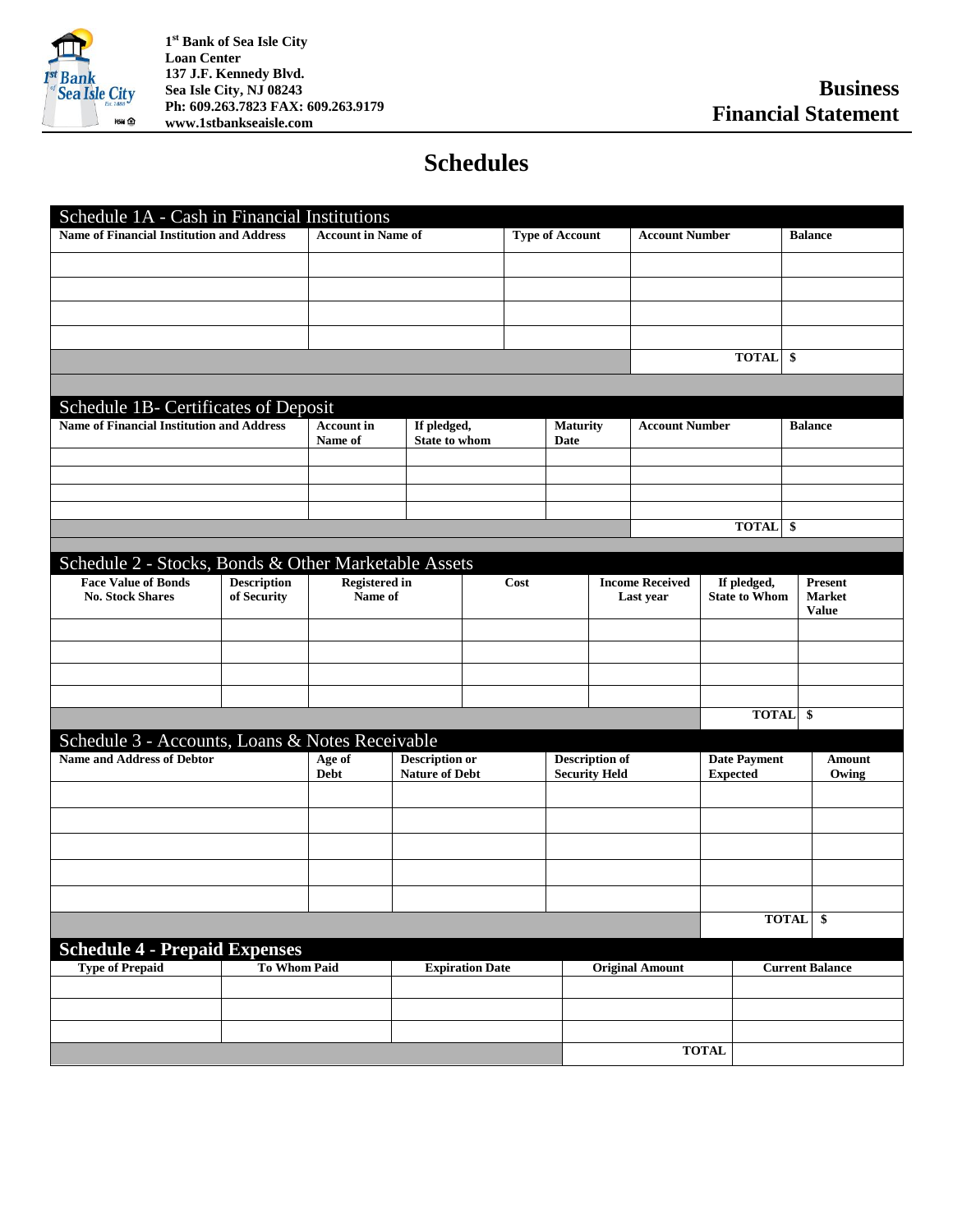

## **Schedules**

| Schedule 1A - Cash in Financial Institutions                                         |                                   |                                 |                       |                                     |                        |                      |                                     |                        |                                     |               |                               |  |
|--------------------------------------------------------------------------------------|-----------------------------------|---------------------------------|-----------------------|-------------------------------------|------------------------|----------------------|-------------------------------------|------------------------|-------------------------------------|---------------|-------------------------------|--|
| <b>Name of Financial Institution and Address</b>                                     |                                   | <b>Account in Name of</b>       |                       |                                     | <b>Type of Account</b> |                      | <b>Account Number</b>               |                        | <b>Balance</b>                      |               |                               |  |
|                                                                                      |                                   |                                 |                       |                                     |                        |                      |                                     |                        |                                     |               |                               |  |
|                                                                                      |                                   |                                 |                       |                                     |                        |                      |                                     |                        |                                     |               |                               |  |
|                                                                                      |                                   |                                 |                       |                                     |                        |                      |                                     |                        |                                     |               |                               |  |
|                                                                                      |                                   |                                 |                       |                                     |                        |                      |                                     |                        |                                     |               |                               |  |
|                                                                                      |                                   |                                 |                       |                                     |                        |                      |                                     |                        | <b>TOTAL</b>                        | $\mathbf{\$}$ |                               |  |
|                                                                                      |                                   |                                 |                       |                                     |                        |                      |                                     |                        |                                     |               |                               |  |
| Schedule 1B- Certificates of Deposit                                                 |                                   |                                 |                       |                                     |                        |                      |                                     |                        |                                     |               |                               |  |
| <b>Name of Financial Institution and Address</b>                                     |                                   | <b>Account in</b><br>Name of    |                       | If pledged,<br><b>State to whom</b> |                        | <b>Maturity</b>      | <b>Account Number</b>               |                        |                                     |               | <b>Balance</b>                |  |
|                                                                                      |                                   |                                 |                       |                                     | Date                   |                      |                                     |                        |                                     |               |                               |  |
|                                                                                      |                                   |                                 |                       |                                     |                        |                      |                                     |                        |                                     |               |                               |  |
|                                                                                      |                                   |                                 |                       |                                     |                        |                      |                                     |                        |                                     |               |                               |  |
|                                                                                      |                                   |                                 |                       |                                     |                        |                      |                                     |                        | <b>TOTAL</b>                        | \$            |                               |  |
|                                                                                      |                                   |                                 |                       |                                     |                        |                      |                                     |                        |                                     |               |                               |  |
| Schedule 2 - Stocks, Bonds & Other Marketable Assets                                 |                                   |                                 |                       |                                     |                        |                      |                                     |                        |                                     |               | <b>Present</b>                |  |
| <b>Face Value of Bonds</b><br><b>No. Stock Shares</b>                                | <b>Description</b><br>of Security | <b>Registered</b> in<br>Name of |                       | Cost                                |                        |                      | <b>Income Received</b><br>Last year |                        | If pledged,<br><b>State to Whom</b> |               | <b>Market</b><br><b>Value</b> |  |
|                                                                                      |                                   |                                 |                       |                                     |                        |                      |                                     |                        |                                     |               |                               |  |
|                                                                                      |                                   |                                 |                       |                                     |                        |                      |                                     |                        |                                     |               |                               |  |
|                                                                                      |                                   |                                 |                       |                                     |                        |                      |                                     |                        |                                     |               |                               |  |
|                                                                                      |                                   |                                 |                       |                                     |                        |                      |                                     |                        | \$                                  |               |                               |  |
|                                                                                      |                                   |                                 |                       |                                     |                        |                      |                                     |                        | <b>TOTAL</b>                        |               |                               |  |
| Schedule 3 - Accounts, Loans & Notes Receivable<br><b>Name and Address of Debtor</b> |                                   | Age of                          | <b>Description or</b> |                                     |                        |                      | <b>Description of</b>               |                        | <b>Date Payment</b>                 |               | Amount                        |  |
|                                                                                      |                                   | Debt<br><b>Nature of Debt</b>   |                       |                                     |                        | <b>Security Held</b> |                                     | <b>Expected</b>        |                                     | Owing         |                               |  |
|                                                                                      |                                   |                                 |                       |                                     |                        |                      |                                     |                        |                                     |               |                               |  |
|                                                                                      |                                   |                                 |                       |                                     |                        |                      |                                     |                        |                                     |               |                               |  |
|                                                                                      |                                   |                                 |                       |                                     |                        |                      |                                     |                        |                                     |               |                               |  |
|                                                                                      |                                   |                                 |                       |                                     |                        |                      |                                     |                        |                                     |               |                               |  |
|                                                                                      |                                   |                                 |                       |                                     |                        |                      |                                     |                        |                                     |               |                               |  |
|                                                                                      |                                   |                                 |                       |                                     |                        |                      |                                     |                        |                                     | <b>TOTAL</b>  | \$                            |  |
| <b>Schedule 4 - Prepaid Expenses</b>                                                 |                                   |                                 |                       |                                     |                        |                      |                                     |                        |                                     |               |                               |  |
| <b>Type of Prepaid</b>                                                               | <b>To Whom Paid</b>               |                                 |                       | <b>Expiration Date</b>              |                        |                      |                                     | <b>Original Amount</b> |                                     |               | <b>Current Balance</b>        |  |
|                                                                                      |                                   |                                 |                       |                                     |                        |                      |                                     |                        |                                     |               |                               |  |
|                                                                                      |                                   |                                 |                       |                                     |                        |                      |                                     |                        |                                     |               |                               |  |
|                                                                                      |                                   |                                 |                       |                                     |                        |                      |                                     |                        |                                     |               |                               |  |
|                                                                                      |                                   |                                 |                       |                                     |                        |                      |                                     |                        | <b>TOTAL</b>                        |               |                               |  |